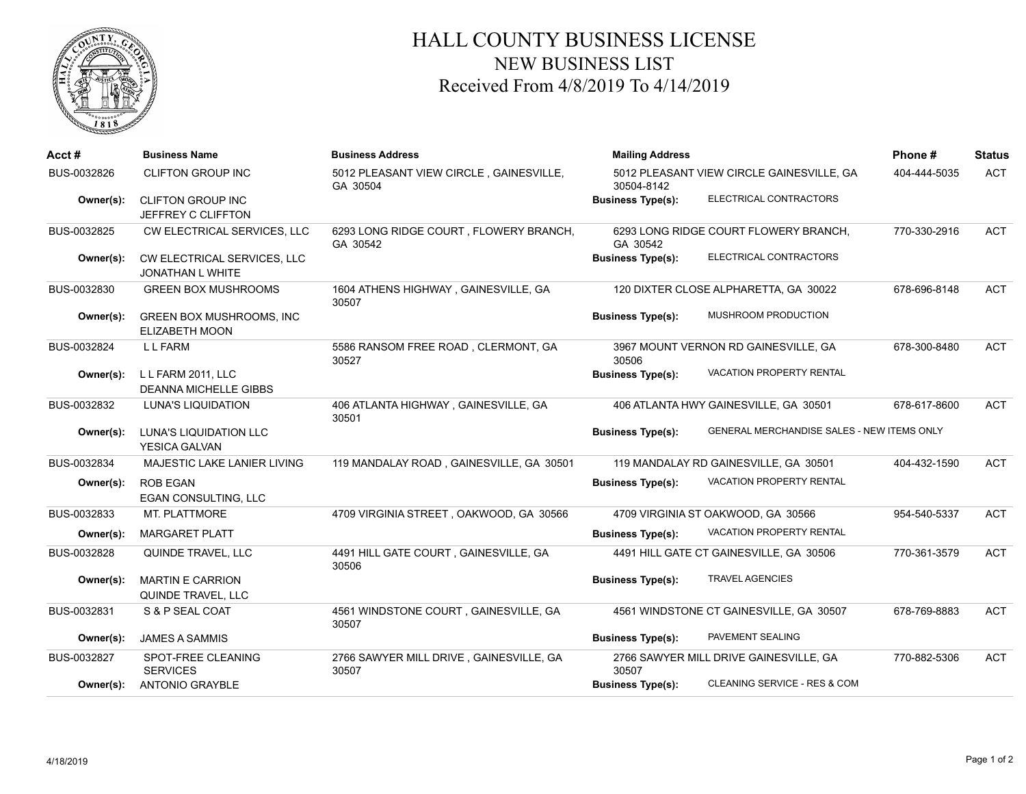

## HALL COUNTY BUSINESS LICENSE NEW BUSINESS LIST Received From 4/8/2019 To 4/14/2019

| Acct#       | <b>Business Name</b>                                     | <b>Business Address</b>                             | <b>Mailing Address</b>                                                        | Phone#       | <b>Status</b> |
|-------------|----------------------------------------------------------|-----------------------------------------------------|-------------------------------------------------------------------------------|--------------|---------------|
| BUS-0032826 | <b>CLIFTON GROUP INC</b>                                 | 5012 PLEASANT VIEW CIRCLE, GAINESVILLE,<br>GA 30504 | 5012 PLEASANT VIEW CIRCLE GAINESVILLE, GA<br>30504-8142                       | 404-444-5035 | <b>ACT</b>    |
| Owner(s):   | <b>CLIFTON GROUP INC</b><br>JEFFREY C CLIFFTON           |                                                     | ELECTRICAL CONTRACTORS<br><b>Business Type(s):</b>                            |              |               |
| BUS-0032825 | CW ELECTRICAL SERVICES, LLC                              | 6293 LONG RIDGE COURT, FLOWERY BRANCH,<br>GA 30542  | 6293 LONG RIDGE COURT FLOWERY BRANCH.<br>GA 30542                             | 770-330-2916 | <b>ACT</b>    |
| Owner(s):   | CW ELECTRICAL SERVICES, LLC<br><b>JONATHAN L WHITE</b>   |                                                     | ELECTRICAL CONTRACTORS<br><b>Business Type(s):</b>                            |              |               |
| BUS-0032830 | <b>GREEN BOX MUSHROOMS</b>                               | 1604 ATHENS HIGHWAY, GAINESVILLE, GA<br>30507       | 120 DIXTER CLOSE ALPHARETTA, GA 30022                                         | 678-696-8148 | <b>ACT</b>    |
| Owner(s):   | <b>GREEN BOX MUSHROOMS, INC</b><br><b>ELIZABETH MOON</b> |                                                     | MUSHROOM PRODUCTION<br><b>Business Type(s):</b>                               |              |               |
| BUS-0032824 | L L FARM                                                 | 5586 RANSOM FREE ROAD, CLERMONT, GA<br>30527        | 3967 MOUNT VERNON RD GAINESVILLE, GA<br>30506                                 | 678-300-8480 | <b>ACT</b>    |
| Owner(s):   | L L FARM 2011, LLC<br><b>DEANNA MICHELLE GIBBS</b>       |                                                     | VACATION PROPERTY RENTAL<br><b>Business Type(s):</b>                          |              |               |
| BUS-0032832 | <b>LUNA'S LIQUIDATION</b>                                | 406 ATLANTA HIGHWAY, GAINESVILLE, GA<br>30501       | 406 ATLANTA HWY GAINESVILLE, GA 30501                                         | 678-617-8600 | <b>ACT</b>    |
| Owner(s):   | LUNA'S LIQUIDATION LLC<br><b>YESICA GALVAN</b>           |                                                     | <b>GENERAL MERCHANDISE SALES - NEW ITEMS ONLY</b><br><b>Business Type(s):</b> |              |               |
| BUS-0032834 | MAJESTIC LAKE LANIER LIVING                              | 119 MANDALAY ROAD, GAINESVILLE, GA 30501            | 119 MANDALAY RD GAINESVILLE, GA 30501                                         | 404-432-1590 | <b>ACT</b>    |
| Owner(s):   | <b>ROB EGAN</b><br><b>EGAN CONSULTING, LLC</b>           |                                                     | <b>VACATION PROPERTY RENTAL</b><br><b>Business Type(s):</b>                   |              |               |
| BUS-0032833 | MT. PLATTMORE                                            | 4709 VIRGINIA STREET, OAKWOOD, GA 30566             | 4709 VIRGINIA ST OAKWOOD, GA 30566                                            | 954-540-5337 | <b>ACT</b>    |
| Owner(s):   | <b>MARGARET PLATT</b>                                    |                                                     | <b>VACATION PROPERTY RENTAL</b><br><b>Business Type(s):</b>                   |              |               |
| BUS-0032828 | QUINDE TRAVEL, LLC                                       | 4491 HILL GATE COURT, GAINESVILLE, GA<br>30506      | 4491 HILL GATE CT GAINESVILLE, GA 30506                                       | 770-361-3579 | <b>ACT</b>    |
| Owner(s):   | <b>MARTIN E CARRION</b><br>QUINDE TRAVEL, LLC            |                                                     | <b>TRAVEL AGENCIES</b><br><b>Business Type(s):</b>                            |              |               |
| BUS-0032831 | S & P SEAL COAT                                          | 4561 WINDSTONE COURT, GAINESVILLE, GA<br>30507      | 4561 WINDSTONE CT GAINESVILLE, GA 30507                                       | 678-769-8883 | <b>ACT</b>    |
| Owner(s):   | <b>JAMES A SAMMIS</b>                                    |                                                     | PAVEMENT SEALING<br><b>Business Type(s):</b>                                  |              |               |
| BUS-0032827 | SPOT-FREE CLEANING<br><b>SERVICES</b>                    | 2766 SAWYER MILL DRIVE, GAINESVILLE, GA<br>30507    | 2766 SAWYER MILL DRIVE GAINESVILLE, GA<br>30507                               | 770-882-5306 | <b>ACT</b>    |
| Owner(s):   | <b>ANTONIO GRAYBLE</b>                                   |                                                     | CLEANING SERVICE - RES & COM<br><b>Business Type(s):</b>                      |              |               |